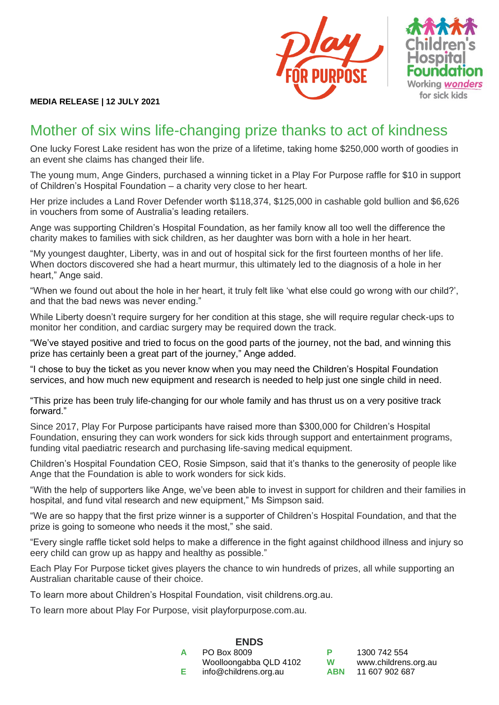



## **MEDIA RELEASE | 12 JULY 2021**

## Mother of six wins life-changing prize thanks to act of kindness

One lucky Forest Lake resident has won the prize of a lifetime, taking home \$250,000 worth of goodies in an event she claims has changed their life.

The young mum, Ange Ginders, purchased a winning ticket in a Play For Purpose raffle for \$10 in support of Children's Hospital Foundation – a charity very close to her heart.

Her prize includes a Land Rover Defender worth \$118,374, \$125,000 in cashable gold bullion and \$6,626 in vouchers from some of Australia's leading retailers.

Ange was supporting Children's Hospital Foundation, as her family know all too well the difference the charity makes to families with sick children, as her daughter was born with a hole in her heart.

"My youngest daughter, Liberty, was in and out of hospital sick for the first fourteen months of her life. When doctors discovered she had a heart murmur, this ultimately led to the diagnosis of a hole in her heart," Ange said.

"When we found out about the hole in her heart, it truly felt like 'what else could go wrong with our child?', and that the bad news was never ending."

While Liberty doesn't require surgery for her condition at this stage, she will require requiar check-ups to monitor her condition, and cardiac surgery may be required down the track.

"We've stayed positive and tried to focus on the good parts of the journey, not the bad, and winning this prize has certainly been a great part of the journey," Ange added.

"I chose to buy the ticket as you never know when you may need the Children's Hospital Foundation services, and how much new equipment and research is needed to help just one single child in need.

"This prize has been truly life-changing for our whole family and has thrust us on a very positive track forward."

Since 2017, Play For Purpose participants have raised more than \$300,000 for Children's Hospital Foundation, ensuring they can work wonders for sick kids through support and entertainment programs, funding vital paediatric research and purchasing life-saving medical equipment.

Children's Hospital Foundation CEO, Rosie Simpson, said that it's thanks to the generosity of people like Ange that the Foundation is able to work wonders for sick kids.

"With the help of supporters like Ange, we've been able to invest in support for children and their families in hospital, and fund vital research and new equipment," Ms Simpson said.

"We are so happy that the first prize winner is a supporter of Children's Hospital Foundation, and that the prize is going to someone who needs it the most," she said.

"Every single raffle ticket sold helps to make a difference in the fight against childhood illness and injury so eery child can grow up as happy and healthy as possible."

Each Play For Purpose ticket gives players the chance to win hundreds of prizes, all while supporting an Australian charitable cause of their choice.

To learn more about Children's Hospital Foundation, visit childrens.org.au.

To learn more about Play For Purpose, visit playforpurpose.com.au.

|   | <b>ENDS</b>            |  |
|---|------------------------|--|
| A | PO Box 8009            |  |
|   | Woolloongabba QLD 4102 |  |
| Е | info@childrens.org.au  |  |

**P** 1300 742 554 **W** [www.childrens.org.au](http://www.childrens.org.au/) **ABN** 11 607 902 687